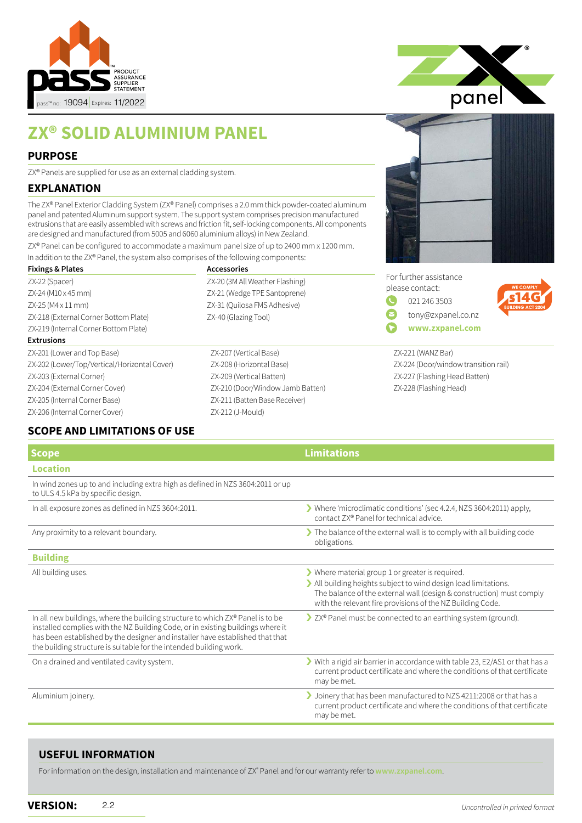

# **ZX® SOLID ALUMINIUM PANEL**

#### **PURPOSE**

ZX® Panels are supplied for use as an external cladding system.

#### **EXPLANATION**

The ZX® Panel Exterior Cladding System (ZX® Panel) comprises a 2.0 mm thick powder-coated aluminum panel and patented Aluminum support system. The support system comprises precision manufactured extrusions that are easily assembled with screws and friction fit, self-locking components. All components are designed and manufactured (from 5005 and 6060 aluminium alloys) in New Zealand.

ZX® Panel can be configured to accommodate a maximum panel size of up to 2400 mm x 1200 mm.

| In addition to the ZX® Panel, the system also comprises of the following components: |                                  |  |
|--------------------------------------------------------------------------------------|----------------------------------|--|
| <b>Fixings &amp; Plates</b>                                                          | <b>Accessories</b>               |  |
| ZX-22 (Spacer)                                                                       | ZX-20 (3M All Weather Flashing)  |  |
| ZX-24 (M10 x 45 mm)                                                                  | ZX-21 (Wedge TPE Santoprene)     |  |
| ZX-25 (M4 x 11 mm)                                                                   | ZX-31 (Quilosa FMS Adhesive)     |  |
| ZX-218 (External Corner Bottom Plate)                                                | ZX-40 (Glazing Tool)             |  |
| ZX-219 (Internal Corner Bottom Plate)                                                |                                  |  |
| <b>Extrusions</b>                                                                    |                                  |  |
| ZX-201 (Lower and Top Base)                                                          | ZX-207 (Vertical Base)           |  |
| ZX-202 (Lower/Top/Vertical/Horizontal Cover)                                         | ZX-208 (Horizontal Base)         |  |
| ZX-203 (External Corner)                                                             | ZX-209 (Vertical Batten)         |  |
| ZX-204 (External Corner Cover)                                                       | ZX-210 (Door/Window Jamb Batten) |  |
| ZX-205 (Internal Corner Base)                                                        | ZX-211 (Batten Base Receiver)    |  |
| ZX-206 (Internal Corner Cover)                                                       | ZX-212 (J-Mould)                 |  |

### **SCOPE AND LIMITATIONS OF USE**

| panel |  |
|-------|--|
|       |  |
|       |  |

|              | For further assistance |
|--------------|------------------------|
|              | please contact:        |
| $\mathbf{C}$ | 021 246 3503           |
| Ø            | tony@zxpanel.co.nz     |
|              | www.zxpanel.com        |



ZX-221 (WANZ Bar) ZX-224 (Door/window transition rail) ZX-227 (Flashing Head Batten) ZX-228 (Flashing Head)

| <b>Limitations</b>                                                                                                                                                                                                                                      |
|---------------------------------------------------------------------------------------------------------------------------------------------------------------------------------------------------------------------------------------------------------|
|                                                                                                                                                                                                                                                         |
|                                                                                                                                                                                                                                                         |
| > Where 'microclimatic conditions' (sec 4.2.4, NZS 3604:2011) apply,<br>contact ZX® Panel for technical advice.                                                                                                                                         |
| The balance of the external wall is to comply with all building code<br>obligations.                                                                                                                                                                    |
|                                                                                                                                                                                                                                                         |
| Where material group 1 or greater is required.<br>> All building heights subject to wind design load limitations.<br>The balance of the external wall (design & construction) must comply<br>with the relevant fire provisions of the NZ Building Code. |
| > ZX® Panel must be connected to an earthing system (ground).                                                                                                                                                                                           |
| With a rigid air barrier in accordance with table 23, E2/AS1 or that has a<br>current product certificate and where the conditions of that certificate<br>may be met.                                                                                   |
| Joinery that has been manufactured to NZS 4211:2008 or that has a<br>current product certificate and where the conditions of that certificate<br>may be met.                                                                                            |
|                                                                                                                                                                                                                                                         |

#### **USEFUL INFORMATION**

For information on the design, installation and maintenance of ZX® Panel and for our warranty refer to **[www.zxpanel.com](http://www.zxpanel.com)**.